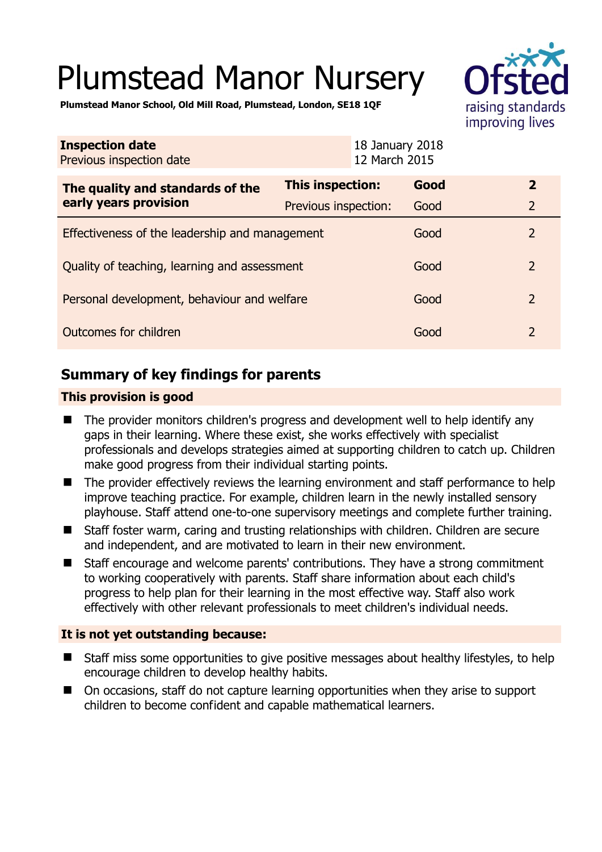# Plumstead Manor Nursery



**Plumstead Manor School, Old Mill Road, Plumstead, London, SE18 1QF** 

| <b>Inspection date</b><br>Previous inspection date |                         | 18 January 2018<br>12 March 2015 |                |  |
|----------------------------------------------------|-------------------------|----------------------------------|----------------|--|
| The quality and standards of the                   | <b>This inspection:</b> | Good                             | $\overline{2}$ |  |
| early years provision                              | Previous inspection:    | Good                             | $\overline{2}$ |  |
| Effectiveness of the leadership and management     |                         |                                  | $\overline{2}$ |  |
| Quality of teaching, learning and assessment       |                         |                                  | $\overline{2}$ |  |
| Personal development, behaviour and welfare        |                         |                                  | $\overline{2}$ |  |
| Outcomes for children                              |                         |                                  | $\overline{2}$ |  |

# **Summary of key findings for parents**

## **This provision is good**

- The provider monitors children's progress and development well to help identify any gaps in their learning. Where these exist, she works effectively with specialist professionals and develops strategies aimed at supporting children to catch up. Children make good progress from their individual starting points.
- The provider effectively reviews the learning environment and staff performance to help improve teaching practice. For example, children learn in the newly installed sensory playhouse. Staff attend one-to-one supervisory meetings and complete further training.
- Staff foster warm, caring and trusting relationships with children. Children are secure and independent, and are motivated to learn in their new environment.
- Staff encourage and welcome parents' contributions. They have a strong commitment to working cooperatively with parents. Staff share information about each child's progress to help plan for their learning in the most effective way. Staff also work effectively with other relevant professionals to meet children's individual needs.

## **It is not yet outstanding because:**

- Staff miss some opportunities to give positive messages about healthy lifestyles, to help encourage children to develop healthy habits.
- On occasions, staff do not capture learning opportunities when they arise to support children to become confident and capable mathematical learners.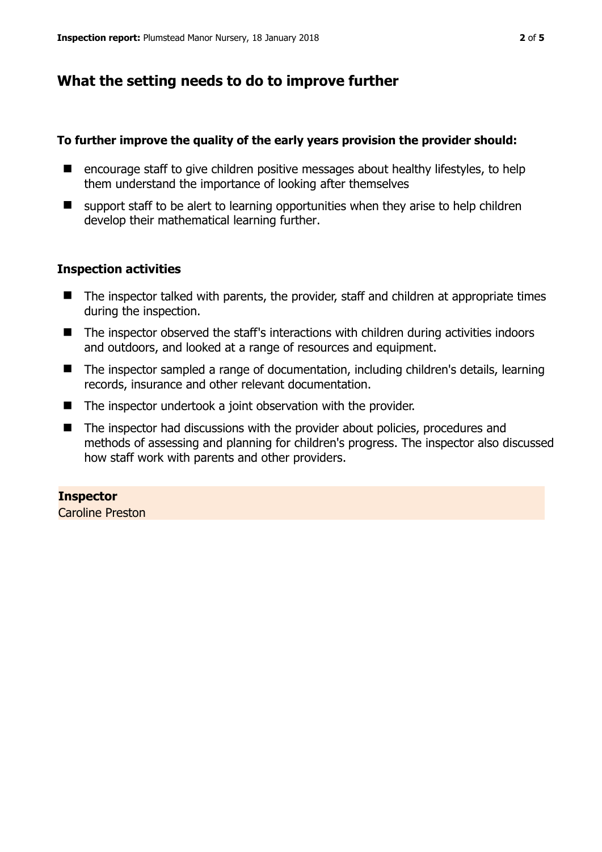# **What the setting needs to do to improve further**

## **To further improve the quality of the early years provision the provider should:**

- encourage staff to give children positive messages about healthy lifestyles, to help them understand the importance of looking after themselves
- $\blacksquare$  support staff to be alert to learning opportunities when they arise to help children develop their mathematical learning further.

## **Inspection activities**

- The inspector talked with parents, the provider, staff and children at appropriate times during the inspection.
- The inspector observed the staff's interactions with children during activities indoors and outdoors, and looked at a range of resources and equipment.
- The inspector sampled a range of documentation, including children's details, learning records, insurance and other relevant documentation.
- The inspector undertook a joint observation with the provider.
- The inspector had discussions with the provider about policies, procedures and methods of assessing and planning for children's progress. The inspector also discussed how staff work with parents and other providers.

## **Inspector**

Caroline Preston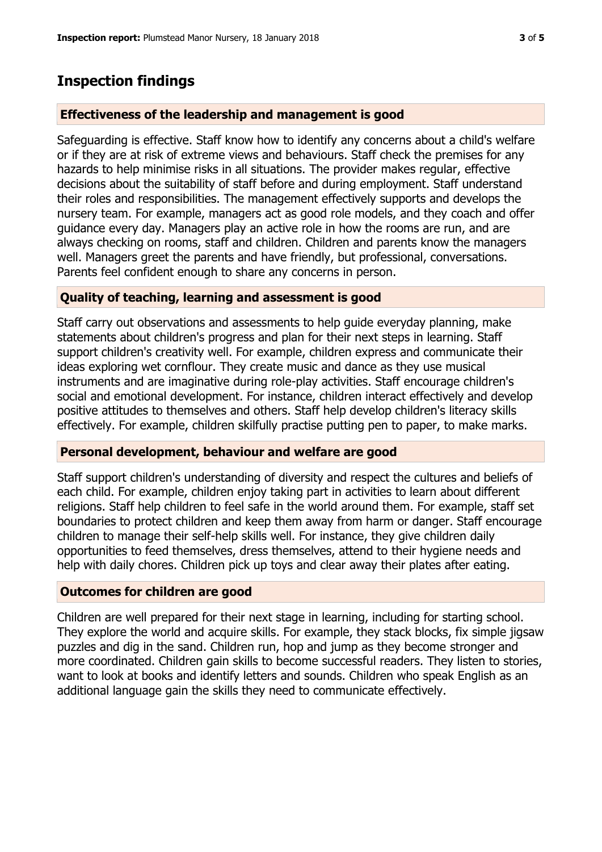## **Inspection findings**

#### **Effectiveness of the leadership and management is good**

Safeguarding is effective. Staff know how to identify any concerns about a child's welfare or if they are at risk of extreme views and behaviours. Staff check the premises for any hazards to help minimise risks in all situations. The provider makes regular, effective decisions about the suitability of staff before and during employment. Staff understand their roles and responsibilities. The management effectively supports and develops the nursery team. For example, managers act as good role models, and they coach and offer guidance every day. Managers play an active role in how the rooms are run, and are always checking on rooms, staff and children. Children and parents know the managers well. Managers greet the parents and have friendly, but professional, conversations. Parents feel confident enough to share any concerns in person.

#### **Quality of teaching, learning and assessment is good**

Staff carry out observations and assessments to help guide everyday planning, make statements about children's progress and plan for their next steps in learning. Staff support children's creativity well. For example, children express and communicate their ideas exploring wet cornflour. They create music and dance as they use musical instruments and are imaginative during role-play activities. Staff encourage children's social and emotional development. For instance, children interact effectively and develop positive attitudes to themselves and others. Staff help develop children's literacy skills effectively. For example, children skilfully practise putting pen to paper, to make marks.

#### **Personal development, behaviour and welfare are good**

Staff support children's understanding of diversity and respect the cultures and beliefs of each child. For example, children enjoy taking part in activities to learn about different religions. Staff help children to feel safe in the world around them. For example, staff set boundaries to protect children and keep them away from harm or danger. Staff encourage children to manage their self-help skills well. For instance, they give children daily opportunities to feed themselves, dress themselves, attend to their hygiene needs and help with daily chores. Children pick up toys and clear away their plates after eating.

#### **Outcomes for children are good**

Children are well prepared for their next stage in learning, including for starting school. They explore the world and acquire skills. For example, they stack blocks, fix simple jigsaw puzzles and dig in the sand. Children run, hop and jump as they become stronger and more coordinated. Children gain skills to become successful readers. They listen to stories, want to look at books and identify letters and sounds. Children who speak English as an additional language gain the skills they need to communicate effectively.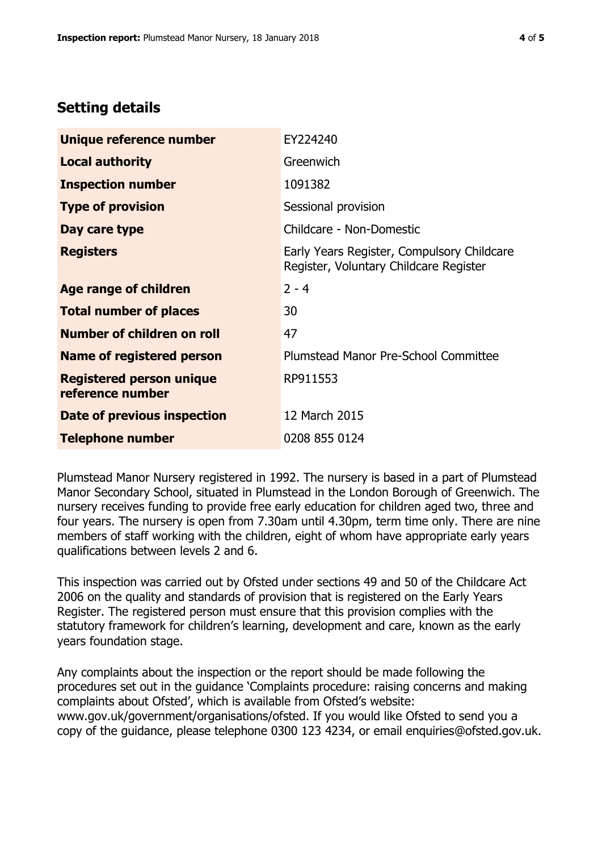## **Setting details**

| Unique reference number                             | EY224240                                                                             |  |
|-----------------------------------------------------|--------------------------------------------------------------------------------------|--|
| <b>Local authority</b>                              | Greenwich                                                                            |  |
| <b>Inspection number</b>                            | 1091382                                                                              |  |
| <b>Type of provision</b>                            | Sessional provision                                                                  |  |
| Day care type                                       | Childcare - Non-Domestic                                                             |  |
| <b>Registers</b>                                    | Early Years Register, Compulsory Childcare<br>Register, Voluntary Childcare Register |  |
| Age range of children                               | $2 - 4$                                                                              |  |
| <b>Total number of places</b>                       | 30                                                                                   |  |
| Number of children on roll                          | 47                                                                                   |  |
| Name of registered person                           | Plumstead Manor Pre-School Committee                                                 |  |
| <b>Registered person unique</b><br>reference number | RP911553                                                                             |  |
| <b>Date of previous inspection</b>                  | 12 March 2015                                                                        |  |
| <b>Telephone number</b>                             | 0208 855 0124                                                                        |  |

Plumstead Manor Nursery registered in 1992. The nursery is based in a part of Plumstead Manor Secondary School, situated in Plumstead in the London Borough of Greenwich. The nursery receives funding to provide free early education for children aged two, three and four years. The nursery is open from 7.30am until 4.30pm, term time only. There are nine members of staff working with the children, eight of whom have appropriate early years qualifications between levels 2 and 6.

This inspection was carried out by Ofsted under sections 49 and 50 of the Childcare Act 2006 on the quality and standards of provision that is registered on the Early Years Register. The registered person must ensure that this provision complies with the statutory framework for children's learning, development and care, known as the early years foundation stage.

Any complaints about the inspection or the report should be made following the procedures set out in the guidance 'Complaints procedure: raising concerns and making complaints about Ofsted', which is available from Ofsted's website: www.gov.uk/government/organisations/ofsted. If you would like Ofsted to send you a copy of the guidance, please telephone 0300 123 4234, or email enquiries@ofsted.gov.uk.